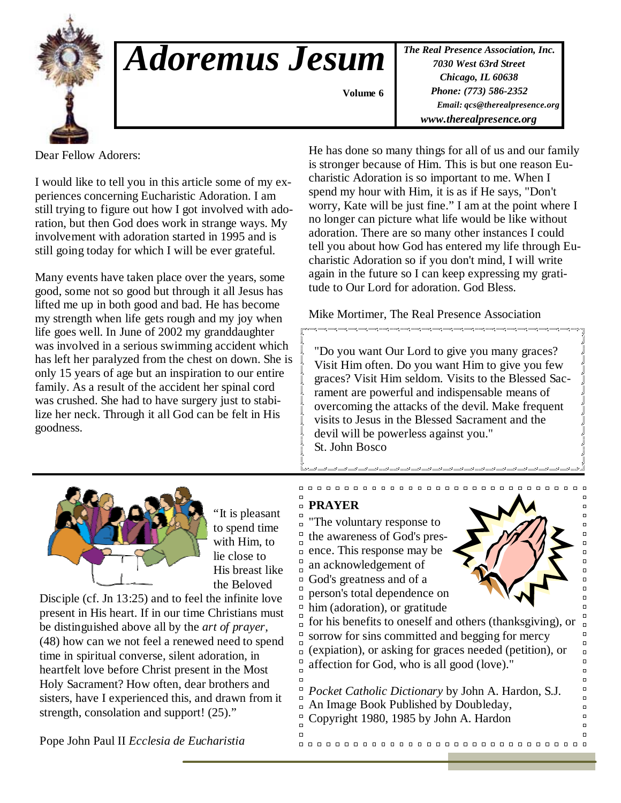

## *Adoremus Jesum*

*The Real Presence Association, Inc. 7030 West 63rd Street Chicago, IL 60638 Phone: (773) 586-2352 Email: qcs@therealpresence.org www.therealpresence.org* 

 **Volume 6 ,**

Dear Fellow Adorers:

I would like to tell you in this article some of my experiences concerning Eucharistic Adoration. I am still trying to figure out how I got involved with adoration, but then God does work in strange ways. My involvement with adoration started in 1995 and is still going today for which I will be ever grateful.

Many events have taken place over the years, some good, some not so good but through it all Jesus has lifted me up in both good and bad. He has become my strength when life gets rough and my joy when life goes well. In June of 2002 my granddaughter was involved in a serious swimming accident which has left her paralyzed from the chest on down. She is only 15 years of age but an inspiration to our entire family. As a result of the accident her spinal cord was crushed. She had to have surgery just to stabilize her neck. Through it all God can be felt in His goodness.

He has done so many things for all of us and our family is stronger because of Him. This is but one reason Eucharistic Adoration is so important to me. When I spend my hour with Him, it is as if He says, "Don't worry, Kate will be just fine." I am at the point where I no longer can picture what life would be like without adoration. There are so many other instances I could tell you about how God has entered my life through Eucharistic Adoration so if you don't mind, I will write again in the future so I can keep expressing my gratitude to Our Lord for adoration. God Bless.

Mike Mortimer, The Real Presence Association

والمستراميني فمسو فسيبو فسيبو فسيرافض

"Do you want Our Lord to give you many graces? Visit Him often. Do you want Him to give you few graces? Visit Him seldom. Visits to the Blessed Sacrament are powerful and indispensable means of overcoming the attacks of the devil. Make frequent visits to Jesus in the Blessed Sacrament and the devil will be powerless against you." St. John Bosco



"It is pleasant to spend time with Him, to lie close to His breast like the Beloved

Disciple (cf. Jn 13:25) and to feel the infinite love present in His heart. If in our time Christians must be distinguished above all by the *art of prayer*, (48) how can we not feel a renewed need to spend time in spiritual converse, silent adoration, in heartfelt love before Christ present in the Most Holy Sacrament? How often, dear brothers and sisters, have I experienced this, and drawn from it strength, consolation and support! (25)."

Pope John Paul II *Ecclesia de Eucharistia*

## **PRAYER**

 $\Box$ 

 $\Box$ 

 $\Box$ 

 $\Box$ 

 $\Box$ 

 $\Box$ 

 $\Box$ 

 $\Box$ 

 $\overline{a}$ 

"The voluntary response to the awareness of God's presence. This response may be an acknowledgement of God's greatness and of a  $\Box$ person's total dependence on  $\Box$  $\Box$ him (adoration), or gratitude

000000000000000000



 $\begin{array}{c} \square \quad \square \quad \square \end{array}$ 

 $\Box$ 

 $\Box$ 

 $\Box$ 

 $\Box$  $\Box$ 

 $\Box$  $\Box$ 

 $\Box$ 

 $\Box$ 

 $\Box$ 

 $\Box$ 

 $\Box$ 

 $\Box$ 

 $\Box$ 

 $\Box$  $\Box$  $\Box$ 

 $\Box$  $\Box$  $\overline{a}$ 

for his benefits to oneself and others (thanksgiving), or sorrow for sins committed and begging for mercy (expiation), or asking for graces needed (petition), or  $\Box$ affection for God, who is all good (love)."

 $\Box$ *Pocket Catholic Dictionary* by John A. Hardon, S.J. An Image Book Published by Doubleday, Copyright 1980, 1985 by John A. Hardon

0000000000000000000000000000000000